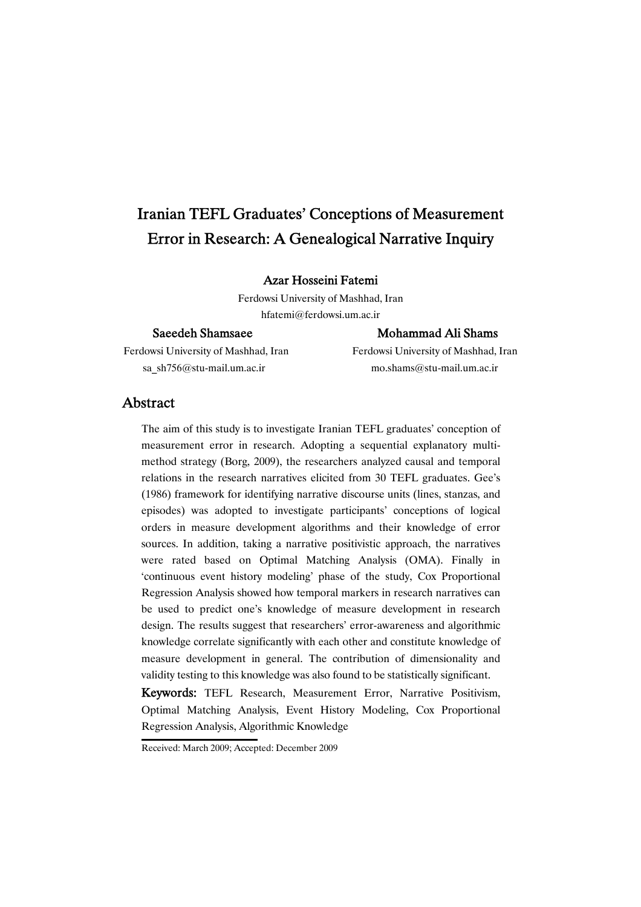# Iranian TEFL Graduates' Conceptions of Measurement Error in Research: A Genealogical Narrative Inquiry

## Azar Hosseini Fatemi

Ferdowsi University of Mashhad, Iran hfatemi@ferdowsi.um.ac.ir

Ferdowsi University of Mashhad, Iran Ferdowsi University of Mashhad, Iran sa\_sh756@stu-mail.um.ac.ir mo.shams@stu-mail.um.ac.ir

## Saeedeh Shamsaee Mohammad Ali Shams

## Abstract

The aim of this study is to investigate Iranian TEFL graduates' conception of measurement error in research. Adopting a sequential explanatory multimethod strategy (Borg, 2009), the researchers analyzed causal and temporal relations in the research narratives elicited from 30 TEFL graduates. Gee's (1986) framework for identifying narrative discourse units (lines, stanzas, and episodes) was adopted to investigate participants' conceptions of logical orders in measure development algorithms and their knowledge of error sources. In addition, taking a narrative positivistic approach, the narratives were rated based on Optimal Matching Analysis (OMA). Finally in 'continuous event history modeling' phase of the study, Cox Proportional Regression Analysis showed how temporal markers in research narratives can be used to predict one's knowledge of measure development in research design. The results suggest that researchers' error-awareness and algorithmic knowledge correlate significantly with each other and constitute knowledge of measure development in general. The contribution of dimensionality and validity testing to this knowledge was also found to be statistically significant.

Keywords: TEFL Research, Measurement Error, Narrative Positivism, Optimal Matching Analysis, Event History Modeling, Cox Proportional Regression Analysis, Algorithmic Knowledge

Received: March 2009; Accepted: December 2009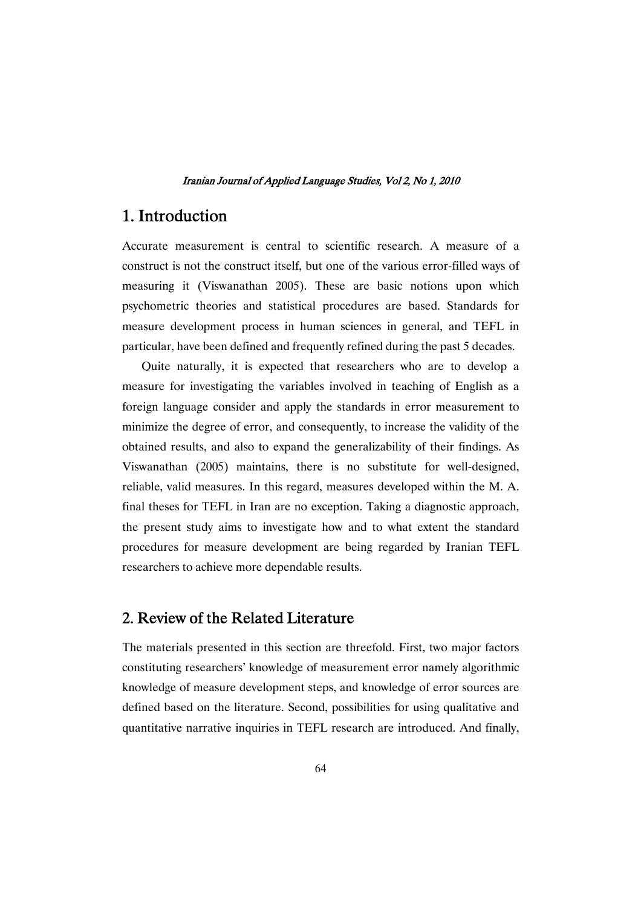# 1.Introduction

Accurate measurement is central to scientific research. A measure of a construct is not the construct itself, but one of the various error-filled ways of measuring it (Viswanathan 2005). These are basic notions upon which psychometric theories and statistical procedures are based. Standards for measure development process in human sciences in general, and TEFL in particular, have been defined and frequently refined during the past 5 decades.

Quite naturally, it is expected that researchers who are to develop a measure for investigating the variables involved in teaching of English as a foreign language consider and apply the standards in error measurement to minimize the degree of error, and consequently, to increase the validity of the obtained results, and also to expand the generalizability of their findings. As Viswanathan (2005) maintains, there is no substitute for well-designed, reliable, valid measures. In this regard, measures developed within the M. A. final theses for TEFL in Iran are no exception. Taking a diagnostic approach, the present study aims to investigate how and to what extent the standard procedures for measure development are being regarded by Iranian TEFL researchers to achieve more dependable results.

# 2. Review of the Related Literature

The materials presented in this section are threefold. First, two major factors constituting researchers' knowledge of measurement error namely algorithmic knowledge of measure development steps, and knowledge of error sources are defined based on the literature. Second, possibilities for using qualitative and quantitative narrative inquiries in TEFL research are introduced. And finally,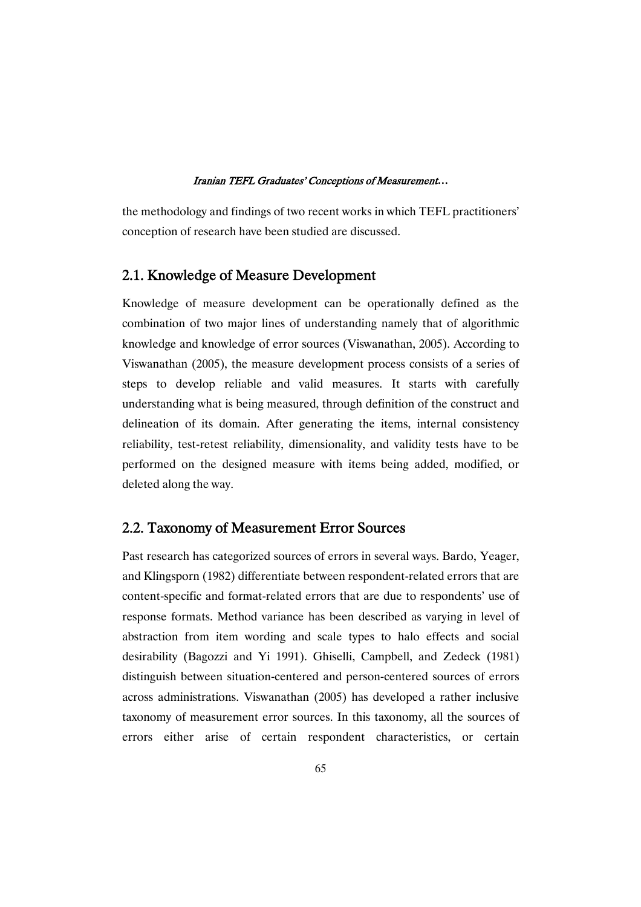the methodology and findings of two recent works in which TEFL practitioners' conception of research have been studied are discussed.

## 2.1. Knowledge of Measure Development

Knowledge of measure development can be operationally defined as the combination of two major lines of understanding namely that of algorithmic knowledge and knowledge of error sources (Viswanathan, 2005). According to Viswanathan (2005), the measure development process consists of a series of steps to develop reliable and valid measures. It starts with carefully understanding what is being measured, through definition of the construct and delineation of its domain. After generating the items, internal consistency reliability, test-retest reliability, dimensionality, and validity tests have to be performed on the designed measure with items being added, modified, or deleted along the way.

## 2.2. Taxonomy of Measurement Error Sources

Past research has categorized sources of errors in several ways. Bardo, Yeager, and Klingsporn (1982) differentiate between respondent-related errors that are content-specific and format-related errors that are due to respondents' use of response formats. Method variance has been described as varying in level of abstraction from item wording and scale types to halo effects and social desirability (Bagozzi and Yi 1991). Ghiselli, Campbell, and Zedeck (1981) distinguish between situation-centered and person-centered sources of errors across administrations. Viswanathan (2005) has developed a rather inclusive taxonomy of measurement error sources. In this taxonomy, all the sources of errors either arise of certain respondent characteristics, or certain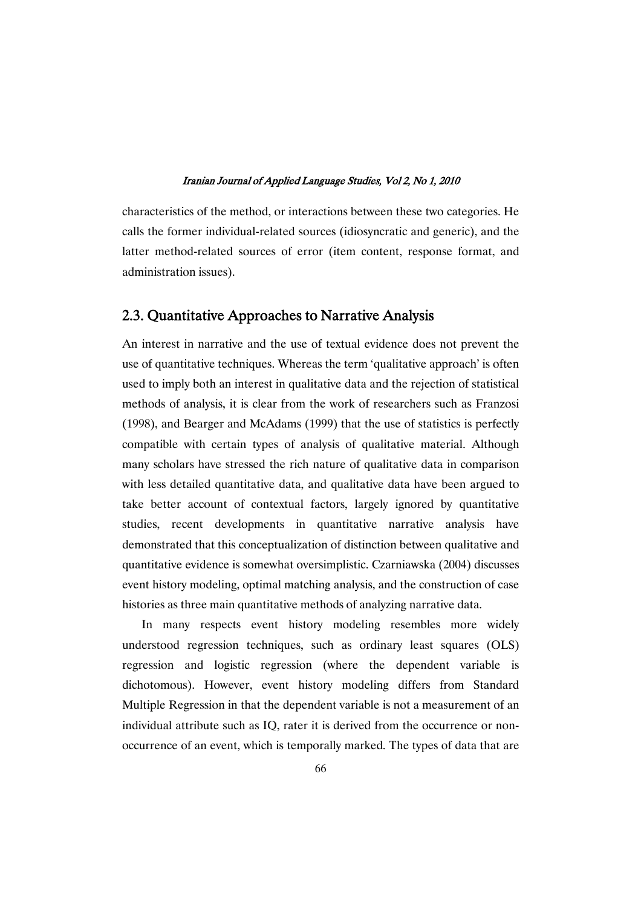characteristics of the method, or interactions between these two categories. He calls the former individual-related sources (idiosyncratic and generic), and the latter method-related sources of error (item content, response format, and administration issues).

## 2.3. Quantitative Approaches to Narrative Analysis

An interest in narrative and the use of textual evidence does not prevent the use of quantitative techniques. Whereas the term 'qualitative approach' is often used to imply both an interest in qualitative data and the rejection of statistical methods of analysis, it is clear from the work of researchers such as Franzosi (1998), and Bearger and McAdams (1999) that the use of statistics is perfectly compatible with certain types of analysis of qualitative material. Although many scholars have stressed the rich nature of qualitative data in comparison with less detailed quantitative data, and qualitative data have been argued to take better account of contextual factors, largely ignored by quantitative studies, recent developments in quantitative narrative analysis have demonstrated that this conceptualization of distinction between qualitative and quantitative evidence is somewhat oversimplistic. Czarniawska (2004) discusses event history modeling, optimal matching analysis, and the construction of case histories as three main quantitative methods of analyzing narrative data.

In many respects event history modeling resembles more widely understood regression techniques, such as ordinary least squares (OLS) regression and logistic regression (where the dependent variable is dichotomous). However, event history modeling differs from Standard Multiple Regression in that the dependent variable is not a measurement of an individual attribute such as IQ, rater it is derived from the occurrence or nonoccurrence of an event, which is temporally marked. The types of data that are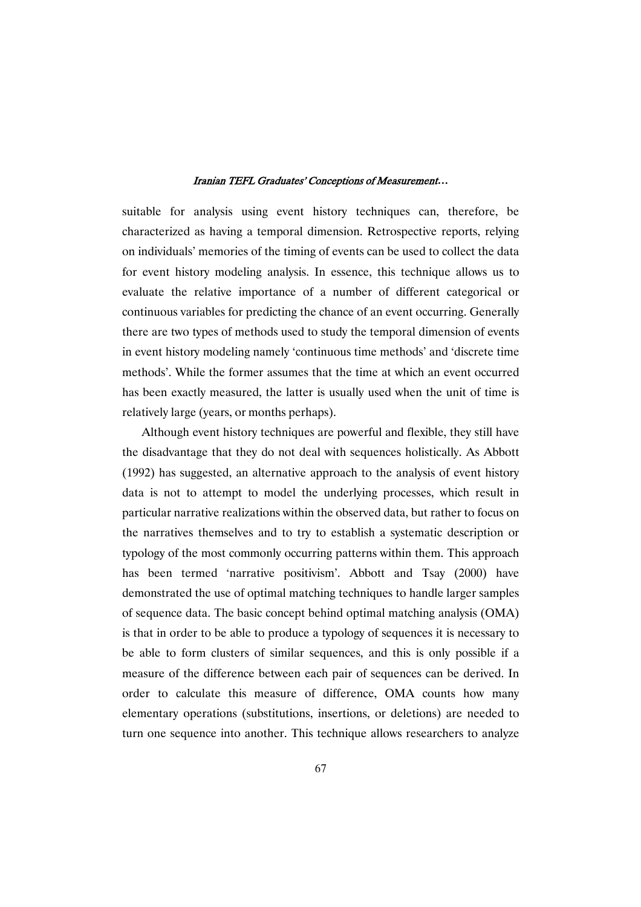suitable for analysis using event history techniques can, therefore, be characterized as having a temporal dimension. Retrospective reports, relying on individuals' memories of the timing of events can be used to collect the data for event history modeling analysis. In essence, this technique allows us to evaluate the relative importance of a number of different categorical or continuous variables for predicting the chance of an event occurring. Generally there are two types of methods used to study the temporal dimension of events in event history modeling namely 'continuous time methods' and 'discrete time methods'. While the former assumes that the time at which an event occurred has been exactly measured, the latter is usually used when the unit of time is relatively large (years, or months perhaps).

Although event history techniques are powerful and flexible, they still have the disadvantage that they do not deal with sequences holistically. As Abbott (1992) has suggested, an alternative approach to the analysis of event history data is not to attempt to model the underlying processes, which result in particular narrative realizations within the observed data, but rather to focus on the narratives themselves and to try to establish a systematic description or typology of the most commonly occurring patterns within them. This approach has been termed 'narrative positivism'. Abbott and Tsay (2000) have demonstrated the use of optimal matching techniques to handle larger samples of sequence data. The basic concept behind optimal matching analysis (OMA) is that in order to be able to produce a typology of sequences it is necessary to be able to form clusters of similar sequences, and this is only possible if a measure of the difference between each pair of sequences can be derived. In order to calculate this measure of difference, OMA counts how many elementary operations (substitutions, insertions, or deletions) are needed to turn one sequence into another. This technique allows researchers to analyze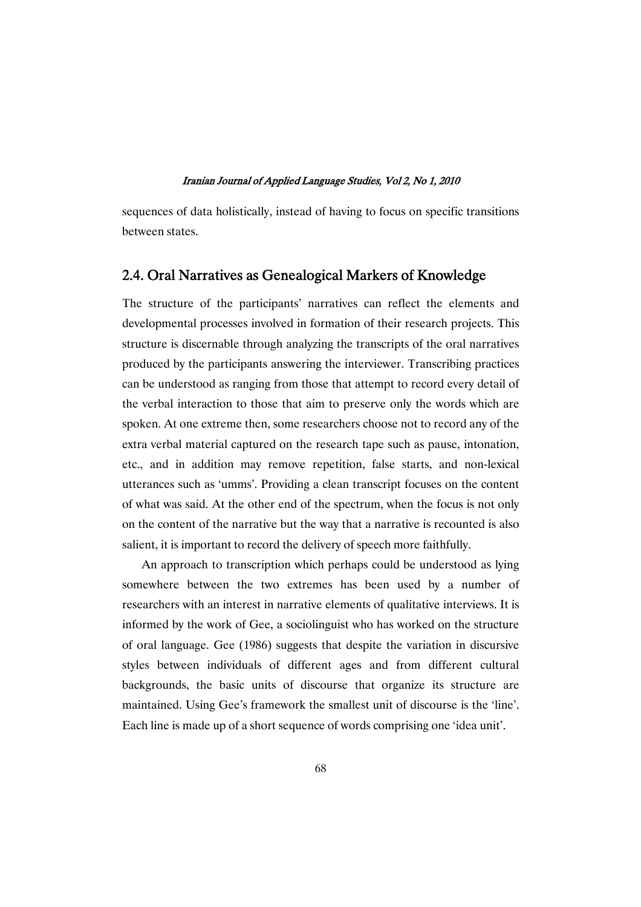sequences of data holistically, instead of having to focus on specific transitions between states.

## 2.4. Oral Narratives as Genealogical Markers of Knowledge

The structure of the participants' narratives can reflect the elements and developmental processes involved in formation of their research projects. This structure is discernable through analyzing the transcripts of the oral narratives produced by the participants answering the interviewer. Transcribing practices can be understood as ranging from those that attempt to record every detail of the verbal interaction to those that aim to preserve only the words which are spoken. At one extreme then, some researchers choose not to record any of the extra verbal material captured on the research tape such as pause, intonation, etc., and in addition may remove repetition, false starts, and non-lexical utterances such as 'umms'. Providing a clean transcript focuses on the content of what was said. At the other end of the spectrum, when the focus is not only on the content of the narrative but the way that a narrative is recounted is also salient, it is important to record the delivery of speech more faithfully.

An approach to transcription which perhaps could be understood as lying somewhere between the two extremes has been used by a number of researchers with an interest in narrative elements of qualitative interviews. It is informed by the work of Gee, a sociolinguist who has worked on the structure of oral language. Gee (1986) suggests that despite the variation in discursive styles between individuals of different ages and from different cultural backgrounds, the basic units of discourse that organize its structure are maintained. Using Gee's framework the smallest unit of discourse is the 'line'. Each line is made up of a short sequence of words comprising one 'idea unit'.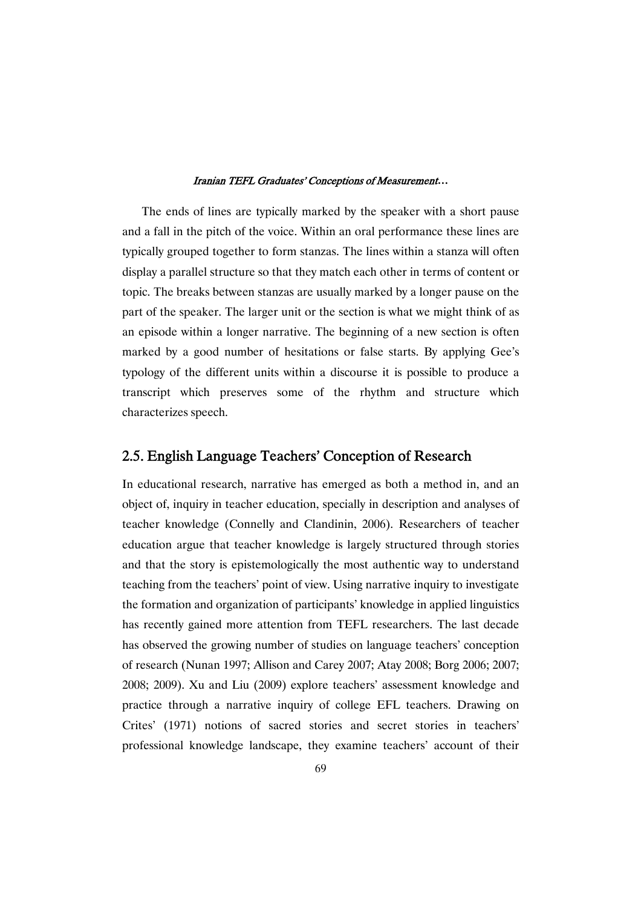The ends of lines are typically marked by the speaker with a short pause and a fall in the pitch of the voice. Within an oral performance these lines are typically grouped together to form stanzas. The lines within a stanza will often display a parallel structure so that they match each other in terms of content or topic. The breaks between stanzas are usually marked by a longer pause on the part of the speaker. The larger unit or the section is what we might think of as an episode within a longer narrative. The beginning of a new section is often marked by a good number of hesitations or false starts. By applying Gee's typology of the different units within a discourse it is possible to produce a transcript which preserves some of the rhythm and structure which characterizes speech.

## 2.5. English Language Teachers' Conception of Research

In educational research, narrative has emerged as both a method in, and an object of, inquiry in teacher education, specially in description and analyses of teacher knowledge (Connelly and Clandinin, 2006). Researchers of teacher education argue that teacher knowledge is largely structured through stories and that the story is epistemologically the most authentic way to understand teaching from the teachers' point of view. Using narrative inquiry to investigate the formation and organization of participants' knowledge in applied linguistics has recently gained more attention from TEFL researchers. The last decade has observed the growing number of studies on language teachers' conception of research (Nunan 1997; Allison and Carey 2007; Atay 2008; Borg 2006; 2007; 2008; 2009). Xu and Liu (2009) explore teachers' assessment knowledge and practice through a narrative inquiry of college EFL teachers. Drawing on Crites' (1971) notions of sacred stories and secret stories in teachers' professional knowledge landscape, they examine teachers' account of their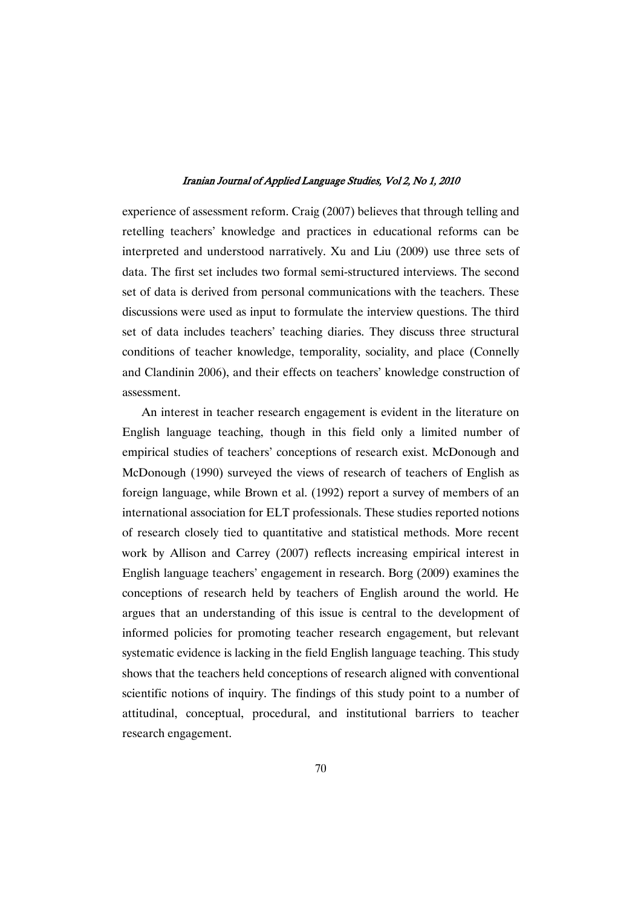experience of assessment reform. Craig (2007) believes that through telling and retelling teachers' knowledge and practices in educational reforms can be interpreted and understood narratively. Xu and Liu (2009) use three sets of data. The first set includes two formal semi-structured interviews. The second set of data is derived from personal communications with the teachers. These discussions were used as input to formulate the interview questions. The third set of data includes teachers' teaching diaries. They discuss three structural conditions of teacher knowledge, temporality, sociality, and place (Connelly and Clandinin 2006), and their effects on teachers' knowledge construction of assessment.

An interest in teacher research engagement is evident in the literature on English language teaching, though in this field only a limited number of empirical studies of teachers' conceptions of research exist. McDonough and McDonough (1990) surveyed the views of research of teachers of English as foreign language, while Brown et al. (1992) report a survey of members of an international association for ELT professionals. These studies reported notions of research closely tied to quantitative and statistical methods. More recent work by Allison and Carrey (2007) reflects increasing empirical interest in English language teachers' engagement in research. Borg (2009) examines the conceptions of research held by teachers of English around the world. He argues that an understanding of this issue is central to the development of informed policies for promoting teacher research engagement, but relevant systematic evidence is lacking in the field English language teaching. This study shows that the teachers held conceptions of research aligned with conventional scientific notions of inquiry. The findings of this study point to a number of attitudinal, conceptual, procedural, and institutional barriers to teacher research engagement.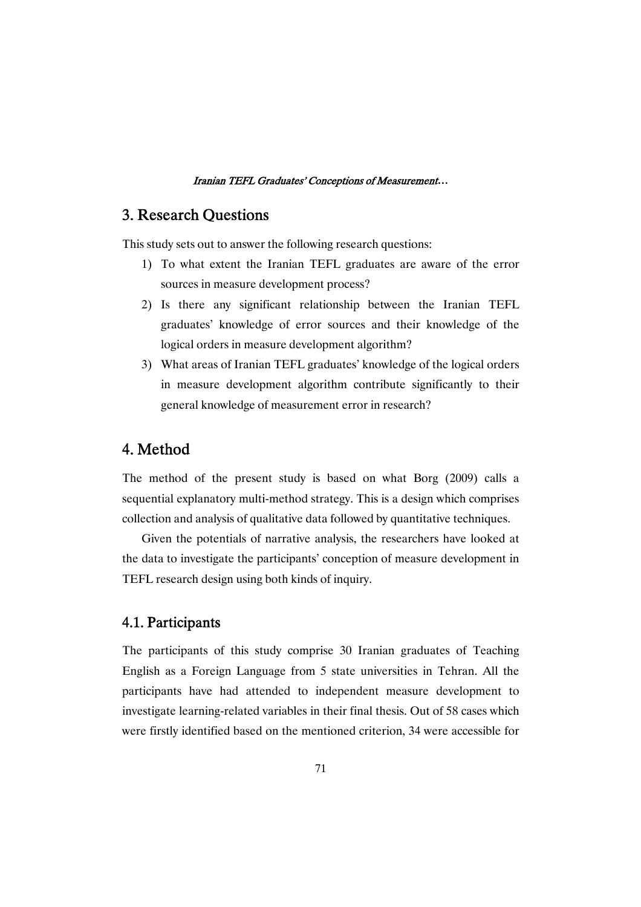# 3. Research Questions

This study sets out to answer the following research questions:

- 1) To what extent the Iranian TEFL graduates are aware of the error sources in measure development process?
- 2) Is there any significant relationship between the Iranian TEFL graduates' knowledge of error sources and their knowledge of the logical orders in measure development algorithm?
- 3) What areas of Iranian TEFL graduates' knowledge of the logical orders in measure development algorithm contribute significantly to their general knowledge of measurement error in research?

# 4.Method

The method of the present study is based on what Borg (2009) calls a sequential explanatory multi-method strategy. This is a design which comprises collection and analysis of qualitative data followed by quantitative techniques.

Given the potentials of narrative analysis, the researchers have looked at the data to investigate the participants' conception of measure development in TEFL research design using both kinds of inquiry.

## 4.1.Participants

The participants of this study comprise 30 Iranian graduates of Teaching English as a Foreign Language from 5 state universities in Tehran. All the participants have had attended to independent measure development to investigate learning-related variables in their final thesis. Out of 58 cases which were firstly identified based on the mentioned criterion, 34 were accessible for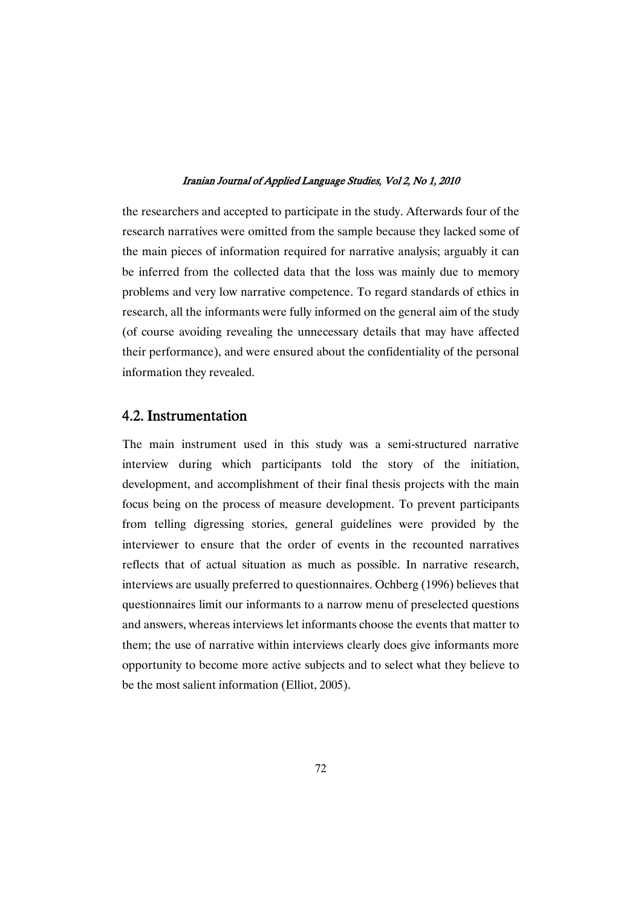the researchers and accepted to participate in the study. Afterwards four of the research narratives were omitted from the sample because they lacked some of the main pieces of information required for narrative analysis; arguably it can be inferred from the collected data that the loss was mainly due to memory problems and very low narrative competence. To regard standards of ethics in research, all the informants were fully informed on the general aim of the study (of course avoiding revealing the unnecessary details that may have affected their performance), and were ensured about the confidentiality of the personal information they revealed.

## 4.2.Instrumentation

The main instrument used in this study was a semi-structured narrative interview during which participants told the story of the initiation, development, and accomplishment of their final thesis projects with the main focus being on the process of measure development. To prevent participants from telling digressing stories, general guidelines were provided by the interviewer to ensure that the order of events in the recounted narratives reflects that of actual situation as much as possible. In narrative research, interviews are usually preferred to questionnaires. Ochberg (1996) believes that questionnaires limit our informants to a narrow menu of preselected questions and answers, whereas interviews let informants choose the events that matter to them; the use of narrative within interviews clearly does give informants more opportunity to become more active subjects and to select what they believe to be the most salient information (Elliot, 2005).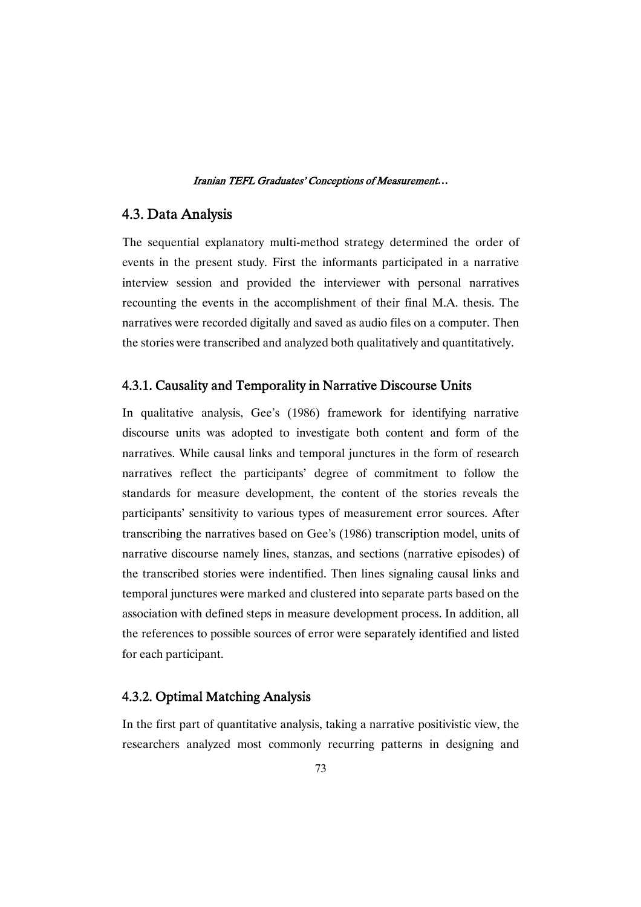## 4.3.DataAnalysis

The sequential explanatory multi-method strategy determined the order of events in the present study. First the informants participated in a narrative interview session and provided the interviewer with personal narratives recounting the events in the accomplishment of their final M.A. thesis. The narratives were recorded digitally and saved as audio files on a computer. Then the stories were transcribed and analyzed both qualitatively and quantitatively.

## 4.3.1. Causality and Temporality in Narrative Discourse Units

In qualitative analysis, Gee's (1986) framework for identifying narrative discourse units was adopted to investigate both content and form of the narratives. While causal links and temporal junctures in the form of research narratives reflect the participants' degree of commitment to follow the standards for measure development, the content of the stories reveals the participants' sensitivity to various types of measurement error sources. After transcribing the narratives based on Gee's (1986) transcription model, units of narrative discourse namely lines, stanzas, and sections (narrative episodes) of the transcribed stories were indentified. Then lines signaling causal links and temporal junctures were marked and clustered into separate parts based on the association with defined steps in measure development process. In addition, all the references to possible sources of error were separately identified and listed for each participant.

## 4.3.2. Optimal Matching Analysis

In the first part of quantitative analysis, taking a narrative positivistic view, the researchers analyzed most commonly recurring patterns in designing and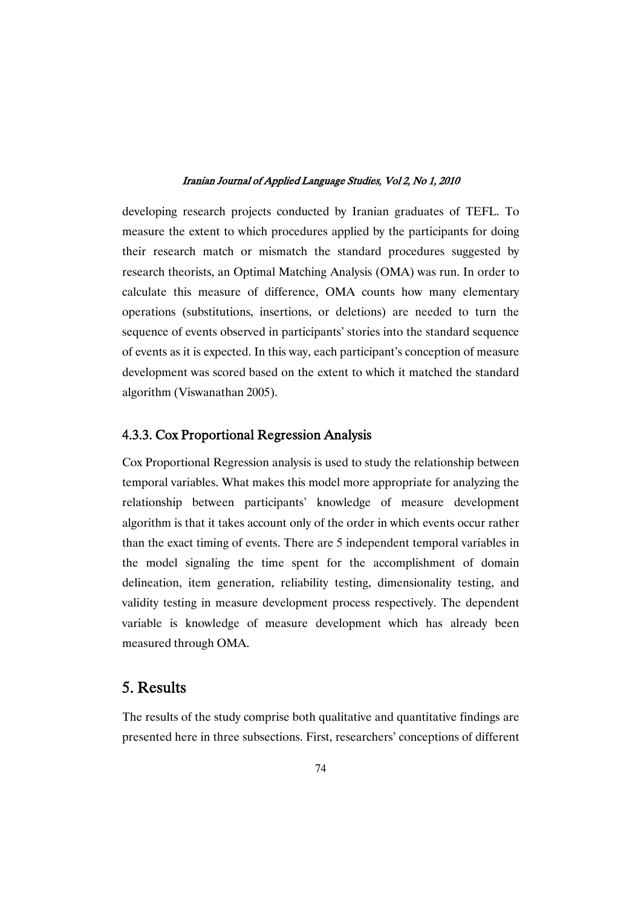developing research projects conducted by Iranian graduates of TEFL. To measure the extent to which procedures applied by the participants for doing their research match or mismatch the standard procedures suggested by research theorists, an Optimal Matching Analysis (OMA) was run. In order to calculate this measure of difference, OMA counts how many elementary operations (substitutions, insertions, or deletions) are needed to turn the sequence of events observed in participants' stories into the standard sequence of events as it is expected. In this way, each participant's conception of measure development was scored based on the extent to which it matched the standard algorithm (Viswanathan 2005).

## 4.3.3. Cox Proportional Regression Analysis

Cox Proportional Regression analysis is used to study the relationship between temporal variables. What makes this model more appropriate for analyzing the relationship between participants' knowledge of measure development algorithm is that it takes account only of the order in which events occur rather than the exact timing of events. There are 5 independent temporal variables in the model signaling the time spent for the accomplishment of domain delineation, item generation, reliability testing, dimensionality testing, and validity testing in measure development process respectively. The dependent variable is knowledge of measure development which has already been measured through OMA.

# 5.Results

The results of the study comprise both qualitative and quantitative findings are presented here in three subsections. First, researchers' conceptions of different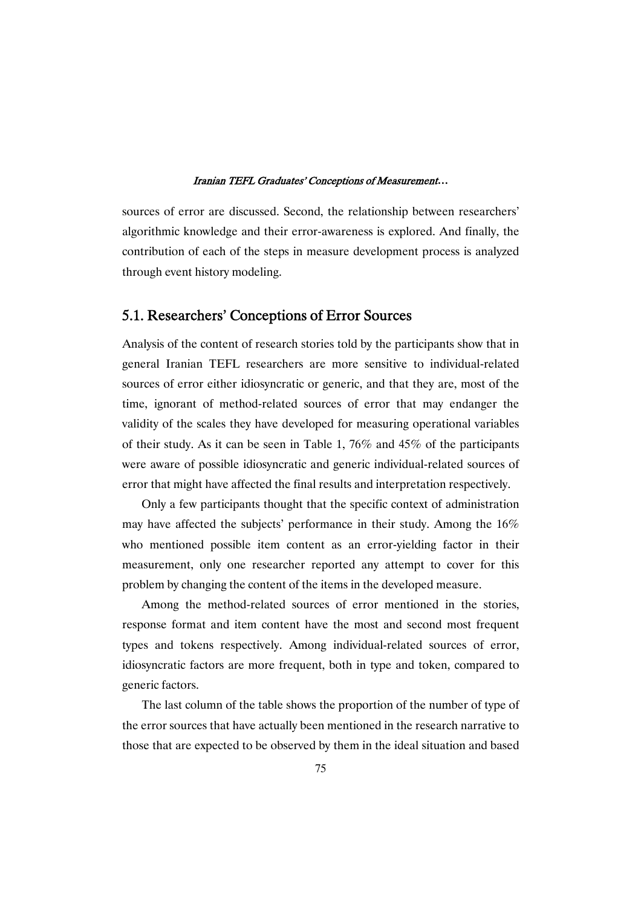sources of error are discussed. Second, the relationship between researchers' algorithmic knowledge and their error-awareness is explored. And finally, the contribution of each of the steps in measure development process is analyzed through event history modeling.

## 5.1. Researchers' Conceptions of Error Sources

Analysis of the content of research stories told by the participants show that in general Iranian TEFL researchers are more sensitive to individual-related sources of error either idiosyncratic or generic, and that they are, most of the time, ignorant of method-related sources of error that may endanger the validity of the scales they have developed for measuring operational variables of their study. As it can be seen in Table 1, 76% and 45% of the participants were aware of possible idiosyncratic and generic individual-related sources of error that might have affected the final results and interpretation respectively.

Only a few participants thought that the specific context of administration may have affected the subjects' performance in their study. Among the 16% who mentioned possible item content as an error-yielding factor in their measurement, only one researcher reported any attempt to cover for this problem by changing the content of the items in the developed measure.

Among the method-related sources of error mentioned in the stories, response format and item content have the most and second most frequent types and tokens respectively. Among individual-related sources of error, idiosyncratic factors are more frequent, both in type and token, compared to generic factors.

The last column of the table shows the proportion of the number of type of the error sources that have actually been mentioned in the research narrative to those that are expected to be observed by them in the ideal situation and based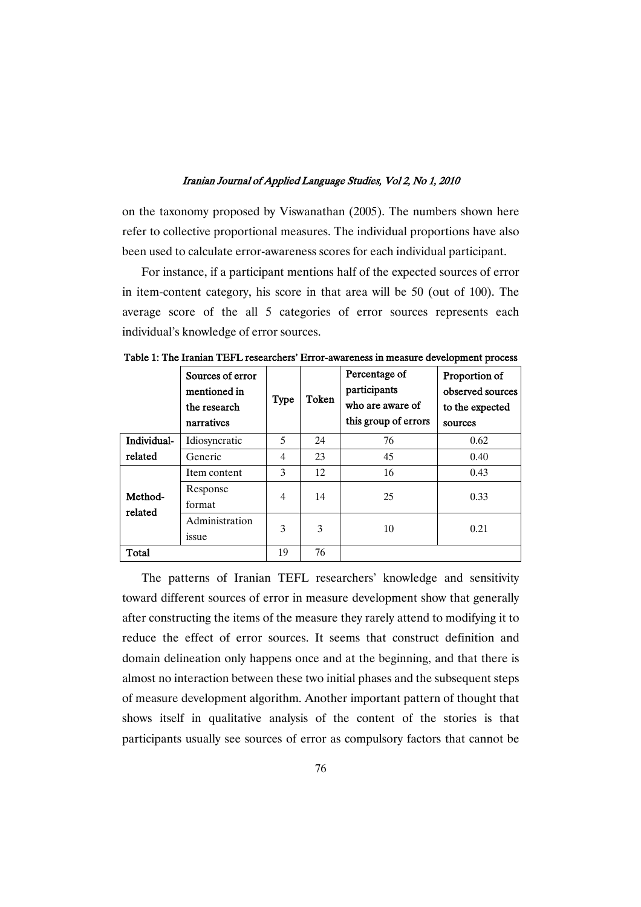on the taxonomy proposed by Viswanathan (2005). The numbers shown here refer to collective proportional measures. The individual proportions have also been used to calculate error-awareness scores for each individual participant.

For instance, if a participant mentions half of the expected sources of error in item-content category, his score in that area will be 50 (out of 100). The average score of the all 5 categories of error sources represents each individual's knowledge of error sources.

|                        | Sources of error<br>mentioned in<br>the research<br>narratives | <b>Type</b>    | Token | Percentage of<br>participants<br>who are aware of<br>this group of errors | Proportion of<br>observed sources<br>to the expected<br>sources |
|------------------------|----------------------------------------------------------------|----------------|-------|---------------------------------------------------------------------------|-----------------------------------------------------------------|
| Individual-<br>related | Idiosyncratic                                                  | 5              | 24    | 76                                                                        | 0.62                                                            |
|                        | Generic                                                        | $\overline{4}$ | 23    | 45                                                                        | 0.40                                                            |
| Method-<br>related     | Item content                                                   | 3              | 12    | 16                                                                        | 0.43                                                            |
|                        | Response<br>format                                             | $\overline{4}$ | 14    | 25                                                                        | 0.33                                                            |
|                        | Administration<br>issue                                        | 3              | 3     | 10                                                                        | 0.21                                                            |
| Total                  |                                                                | 19             | 76    |                                                                           |                                                                 |

Table 1: The Iranian TEFL researchers' Error-awareness in measure development process

The patterns of Iranian TEFL researchers' knowledge and sensitivity toward different sources of error in measure development show that generally after constructing the items of the measure they rarely attend to modifying it to reduce the effect of error sources. It seems that construct definition and domain delineation only happens once and at the beginning, and that there is almost no interaction between these two initial phases and the subsequent steps of measure development algorithm. Another important pattern of thought that shows itself in qualitative analysis of the content of the stories is that participants usually see sources of error as compulsory factors that cannot be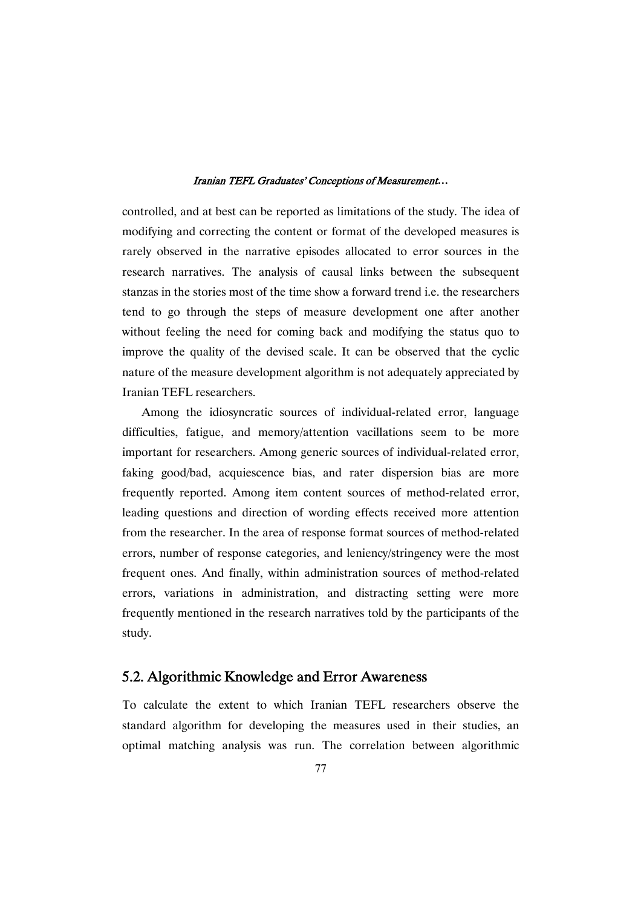controlled, and at best can be reported as limitations of the study. The idea of modifying and correcting the content or format of the developed measures is rarely observed in the narrative episodes allocated to error sources in the research narratives. The analysis of causal links between the subsequent stanzas in the stories most of the time show a forward trend i.e. the researchers tend to go through the steps of measure development one after another without feeling the need for coming back and modifying the status quo to improve the quality of the devised scale. It can be observed that the cyclic nature of the measure development algorithm is not adequately appreciated by Iranian TEFL researchers.

Among the idiosyncratic sources of individual-related error, language difficulties, fatigue, and memory/attention vacillations seem to be more important for researchers. Among generic sources of individual-related error, faking good/bad, acquiescence bias, and rater dispersion bias are more frequently reported. Among item content sources of method-related error, leading questions and direction of wording effects received more attention from the researcher. In the area of response format sources of method-related errors, number of response categories, and leniency/stringency were the most frequent ones. And finally, within administration sources of method-related errors, variations in administration, and distracting setting were more frequently mentioned in the research narratives told by the participants of the study.

## 5.2. Algorithmic Knowledge and Error Awareness

To calculate the extent to which Iranian TEFL researchers observe the standard algorithm for developing the measures used in their studies, an optimal matching analysis was run. The correlation between algorithmic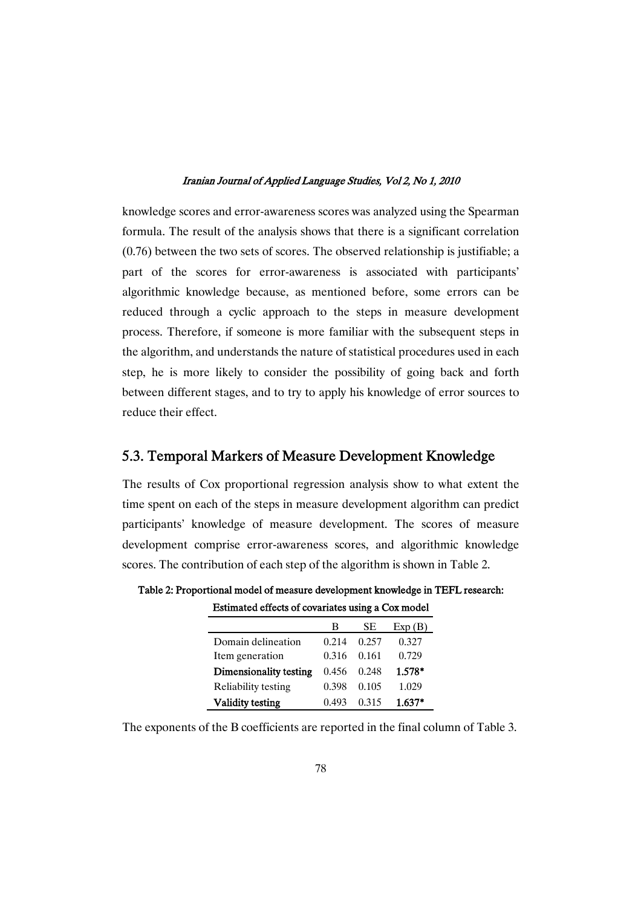knowledge scores and error-awareness scores was analyzed using the Spearman formula. The result of the analysis shows that there is a significant correlation (0.76) between the two sets of scores. The observed relationship is justifiable; a part of the scores for error-awareness is associated with participants' algorithmic knowledge because, as mentioned before, some errors can be reduced through a cyclic approach to the steps in measure development process. Therefore, if someone is more familiar with the subsequent steps in the algorithm, and understands the nature of statistical procedures used in each step, he is more likely to consider the possibility of going back and forth between different stages, and to try to apply his knowledge of error sources to reduce their effect.

## 5.3. Temporal Markers of Measure Development Knowledge

The results of Cox proportional regression analysis show to what extent the time spent on each of the steps in measure development algorithm can predict participants' knowledge of measure development. The scores of measure development comprise error-awareness scores, and algorithmic knowledge scores. The contribution of each step of the algorithm is shown in Table 2.

|                         | в     | <b>SE</b> | Exp(B)   |
|-------------------------|-------|-----------|----------|
| Domain delineation      | 0.214 | 0.257     | 0.327    |
| Item generation         | 0.316 | 0.161     | 0.729    |
| Dimensionality testing  | 0.456 | 0.248     | 1.578*   |
| Reliability testing     | 0.398 | 0.105     | 1.029    |
| <b>Validity testing</b> | 0.493 | 0.315     | $1.637*$ |

Table 2: Proportional model of measure development knowledge in TEFL research: Estimated effects of covariates using a Cox model

The exponents of the B coefficients are reported in the final column of Table 3.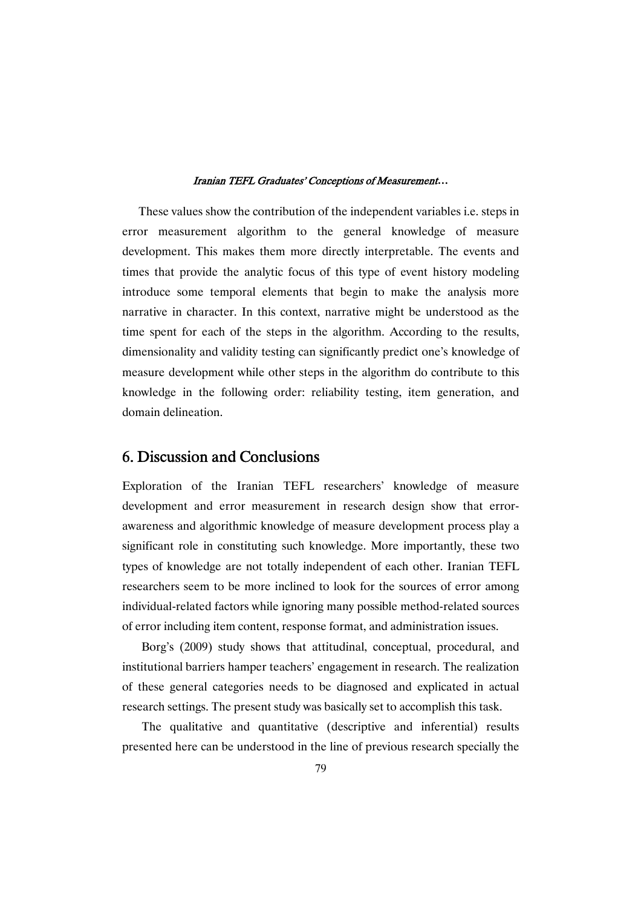These values show the contribution of the independent variables i.e. steps in error measurement algorithm to the general knowledge of measure development. This makes them more directly interpretable. The events and times that provide the analytic focus of this type of event history modeling introduce some temporal elements that begin to make the analysis more narrative in character. In this context, narrative might be understood as the time spent for each of the steps in the algorithm. According to the results, dimensionality and validity testing can significantly predict one's knowledge of measure development while other steps in the algorithm do contribute to this knowledge in the following order: reliability testing, item generation, and domain delineation.

## 6.DiscussionandConclusions

Exploration of the Iranian TEFL researchers' knowledge of measure development and error measurement in research design show that errorawareness and algorithmic knowledge of measure development process play a significant role in constituting such knowledge. More importantly, these two types of knowledge are not totally independent of each other. Iranian TEFL researchers seem to be more inclined to look for the sources of error among individual-related factors while ignoring many possible method-related sources of error including item content, response format, and administration issues.

Borg's (2009) study shows that attitudinal, conceptual, procedural, and institutional barriers hamper teachers' engagement in research. The realization of these general categories needs to be diagnosed and explicated in actual research settings. The present study was basically set to accomplish this task.

The qualitative and quantitative (descriptive and inferential) results presented here can be understood in the line of previous research specially the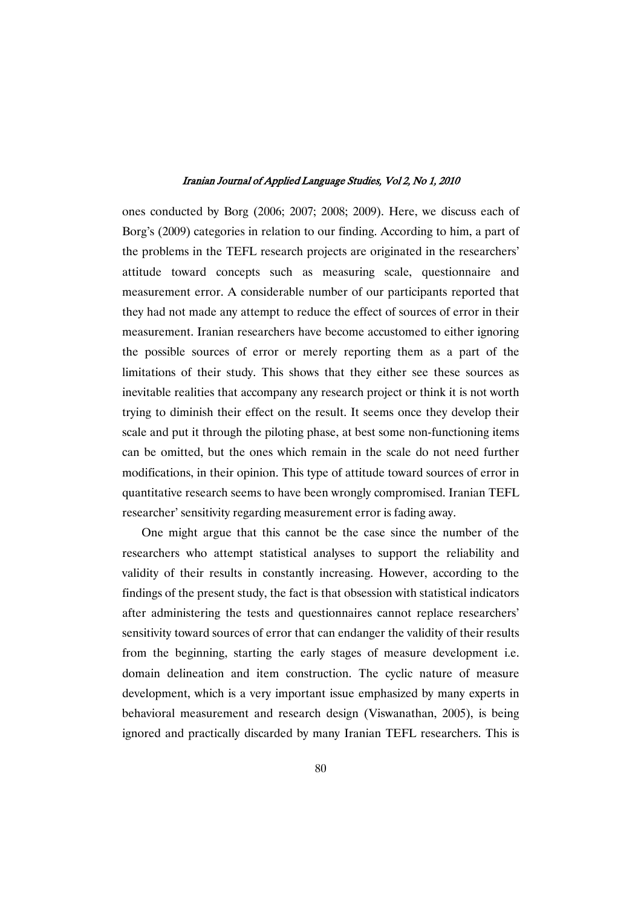ones conducted by Borg (2006; 2007; 2008; 2009). Here, we discuss each of Borg's (2009) categories in relation to our finding. According to him, a part of the problems in the TEFL research projects are originated in the researchers' attitude toward concepts such as measuring scale, questionnaire and measurement error. A considerable number of our participants reported that they had not made any attempt to reduce the effect of sources of error in their measurement. Iranian researchers have become accustomed to either ignoring the possible sources of error or merely reporting them as a part of the limitations of their study. This shows that they either see these sources as inevitable realities that accompany any research project or think it is not worth trying to diminish their effect on the result. It seems once they develop their scale and put it through the piloting phase, at best some non-functioning items can be omitted, but the ones which remain in the scale do not need further modifications, in their opinion. This type of attitude toward sources of error in quantitative research seems to have been wrongly compromised. Iranian TEFL researcher' sensitivity regarding measurement error is fading away.

One might argue that this cannot be the case since the number of the researchers who attempt statistical analyses to support the reliability and validity of their results in constantly increasing. However, according to the findings of the present study, the fact is that obsession with statistical indicators after administering the tests and questionnaires cannot replace researchers' sensitivity toward sources of error that can endanger the validity of their results from the beginning, starting the early stages of measure development i.e. domain delineation and item construction. The cyclic nature of measure development, which is a very important issue emphasized by many experts in behavioral measurement and research design (Viswanathan, 2005), is being ignored and practically discarded by many Iranian TEFL researchers. This is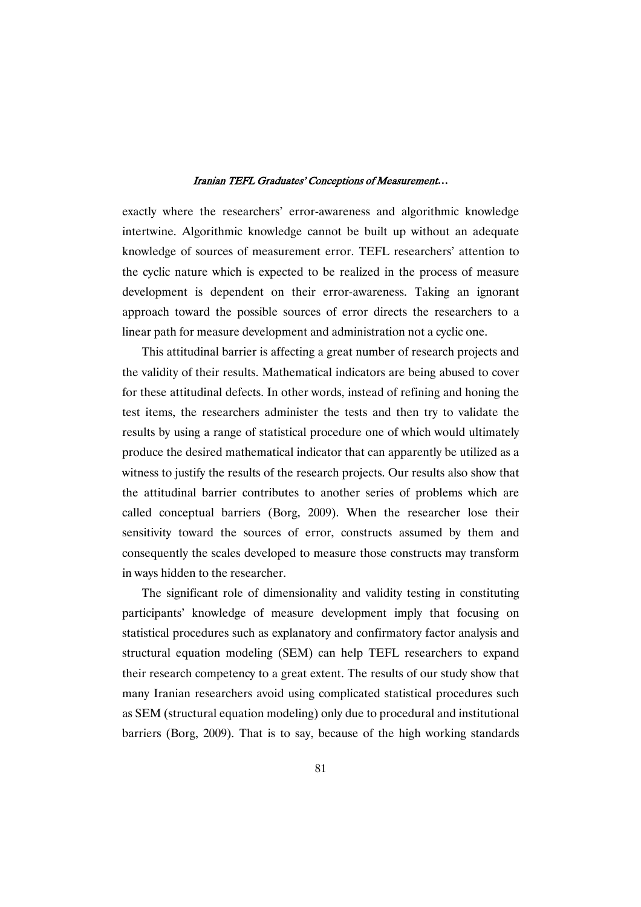exactly where the researchers' error-awareness and algorithmic knowledge intertwine. Algorithmic knowledge cannot be built up without an adequate knowledge of sources of measurement error. TEFL researchers' attention to the cyclic nature which is expected to be realized in the process of measure development is dependent on their error-awareness. Taking an ignorant approach toward the possible sources of error directs the researchers to a linear path for measure development and administration not a cyclic one.

This attitudinal barrier is affecting a great number of research projects and the validity of their results. Mathematical indicators are being abused to cover for these attitudinal defects. In other words, instead of refining and honing the test items, the researchers administer the tests and then try to validate the results by using a range of statistical procedure one of which would ultimately produce the desired mathematical indicator that can apparently be utilized as a witness to justify the results of the research projects. Our results also show that the attitudinal barrier contributes to another series of problems which are called conceptual barriers (Borg, 2009). When the researcher lose their sensitivity toward the sources of error, constructs assumed by them and consequently the scales developed to measure those constructs may transform in ways hidden to the researcher.

The significant role of dimensionality and validity testing in constituting participants' knowledge of measure development imply that focusing on statistical procedures such as explanatory and confirmatory factor analysis and structural equation modeling (SEM) can help TEFL researchers to expand their research competency to a great extent. The results of our study show that many Iranian researchers avoid using complicated statistical procedures such as SEM (structural equation modeling) only due to procedural and institutional barriers (Borg, 2009). That is to say, because of the high working standards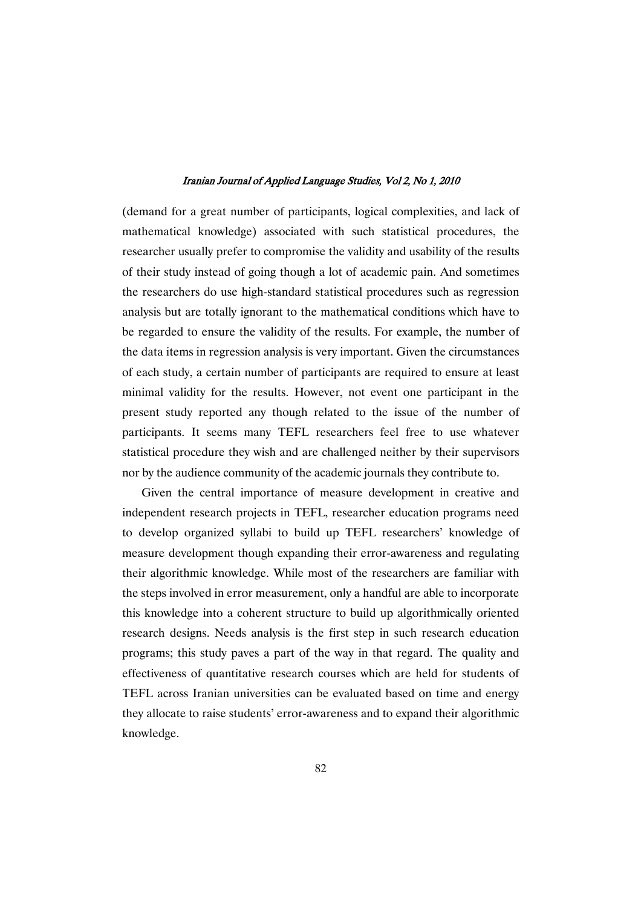(demand for a great number of participants, logical complexities, and lack of mathematical knowledge) associated with such statistical procedures, the researcher usually prefer to compromise the validity and usability of the results of their study instead of going though a lot of academic pain. And sometimes the researchers do use high-standard statistical procedures such as regression analysis but are totally ignorant to the mathematical conditions which have to be regarded to ensure the validity of the results. For example, the number of the data items in regression analysis is very important. Given the circumstances of each study, a certain number of participants are required to ensure at least minimal validity for the results. However, not event one participant in the present study reported any though related to the issue of the number of participants. It seems many TEFL researchers feel free to use whatever statistical procedure they wish and are challenged neither by their supervisors nor by the audience community of the academic journals they contribute to.

Given the central importance of measure development in creative and independent research projects in TEFL, researcher education programs need to develop organized syllabi to build up TEFL researchers' knowledge of measure development though expanding their error-awareness and regulating their algorithmic knowledge. While most of the researchers are familiar with the steps involved in error measurement, only a handful are able to incorporate this knowledge into a coherent structure to build up algorithmically oriented research designs. Needs analysis is the first step in such research education programs; this study paves a part of the way in that regard. The quality and effectiveness of quantitative research courses which are held for students of TEFL across Iranian universities can be evaluated based on time and energy they allocate to raise students' error-awareness and to expand their algorithmic knowledge.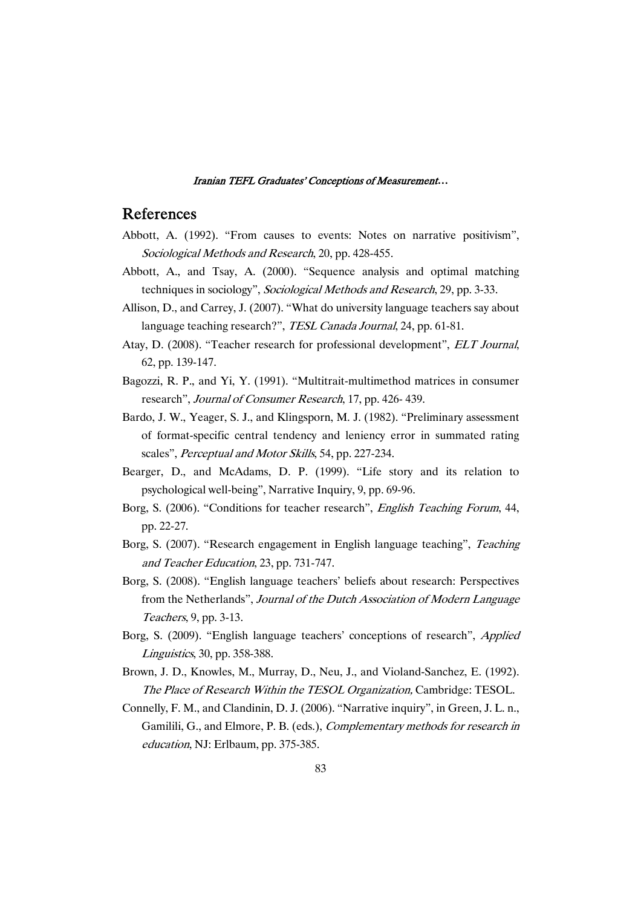## References

- Abbott, A. (1992). "From causes to events: Notes on narrative positivism", Sociological Methods and Research, 20, pp. 428-455.
- Abbott, A., and Tsay, A. (2000). "Sequence analysis and optimal matching techniques in sociology", Sociological Methods and Research, 29, pp. 3-33.
- Allison, D., and Carrey, J. (2007). "What do university language teachers say about language teaching research?", TESL Canada Journal, 24, pp. 61-81.
- Atay, D. (2008). "Teacher research for professional development", ELT Journal, 62, pp. 139-147.
- Bagozzi, R. P., and Yi, Y. (1991). "Multitrait-multimethod matrices in consumer research", Journal of Consumer Research, 17, pp. 426- 439.
- Bardo, J. W., Yeager, S. J., and Klingsporn, M. J. (1982). "Preliminary assessment of format-specific central tendency and leniency error in summated rating scales", Perceptual and Motor Skills, 54, pp. 227-234.
- Bearger, D., and McAdams, D. P. (1999). "Life story and its relation to psychological well-being", Narrative Inquiry, 9, pp. 69-96.
- Borg, S. (2006). "Conditions for teacher research", English Teaching Forum, 44, pp. 22-27.
- Borg, S. (2007). "Research engagement in English language teaching", Teaching and Teacher Education, 23, pp. 731-747.
- Borg, S. (2008). "English language teachers' beliefs about research: Perspectives from the Netherlands", Journal of the Dutch Association of Modern Language Teachers, 9, pp. 3-13.
- Borg, S. (2009). "English language teachers' conceptions of research", Applied Linguistics, 30, pp. 358-388.
- Brown, J. D., Knowles, M., Murray, D., Neu, J., and Violand-Sanchez, E. (1992). The Place of Research Within the TESOL Organization, Cambridge: TESOL.
- Connelly, F. M., and Clandinin, D. J. (2006). "Narrative inquiry", in Green, J. L. n., Gamilili, G., and Elmore, P. B. (eds.), Complementary methods for research in education, NJ: Erlbaum, pp. 375-385.